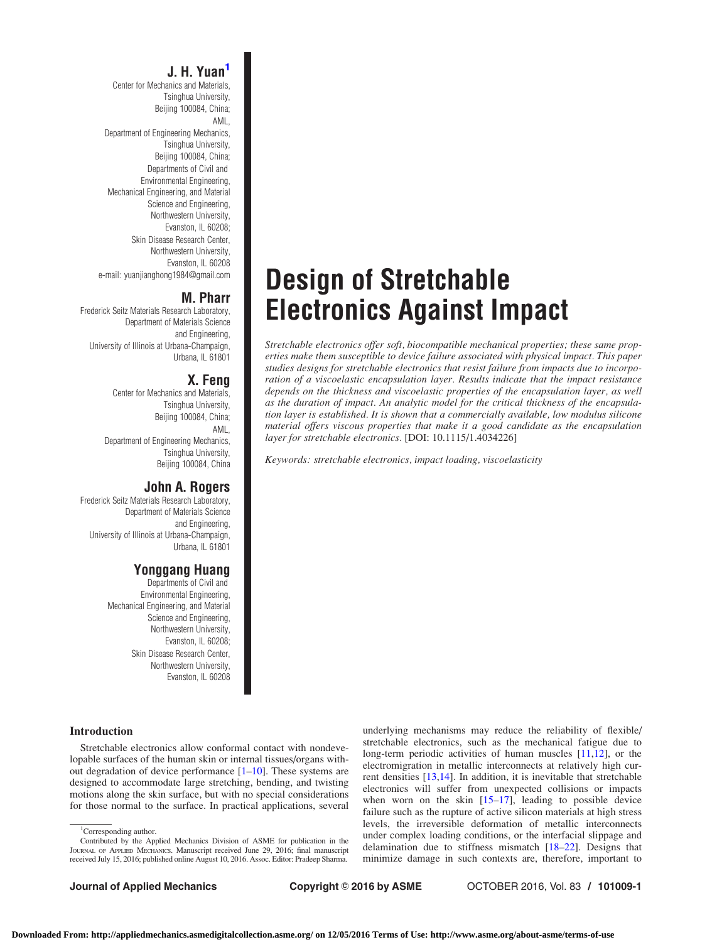# J. H. Yuan

Center for Mechanics and Materials, Tsinghua University, Beijing 100084, China; AML, Department of Engineering Mechanics, Tsinghua University, Beijing 100084, China; Departments of Civil and Environmental Engineering, Mechanical Engineering, and Material Science and Engineering, Northwestern University, Evanston, IL 60208; Skin Disease Research Center, Northwestern University, Evanston, IL 60208 e-mail: yuanjianghong1984@gmail.com

# M. Pharr

Frederick Seitz Materials Research Laboratory, Department of Materials Science and Engineering, University of Illinois at Urbana-Champaign, Urbana, IL 61801

# X. Feng

Center for Mechanics and Materials, Tsinghua University, Beijing 100084, China; AML, Department of Engineering Mechanics, Tsinghua University, Beijing 100084, China

# John A. Rogers

Frederick Seitz Materials Research Laboratory, Department of Materials Science and Engineering, University of Illinois at Urbana-Champaign, Urbana, IL 61801

# Yonggang Huang

Departments of Civil and Environmental Engineering, Mechanical Engineering, and Material Science and Engineering, Northwestern University, Evanston, IL 60208; Skin Disease Research Center, Northwestern University, Evanston, IL 60208

# Introduction

Stretchable electronics allow conformal contact with nondevelopable surfaces of the human skin or internal tissues/organs without degradation of device performance  $[1-10]$ . These systems are designed to accommodate large stretching, bending, and twisting motions along the skin surface, but with no special considerations for those normal to the surface. In practical applications, several

<sup>1</sup>Corresponding author.

Design of Stretchable Electronics Against Impact

Stretchable electronics offer soft, biocompatible mechanical properties; these same properties make them susceptible to device failure associated with physical impact. This paper studies designs for stretchable electronics that resist failure from impacts due to incorporation of a viscoelastic encapsulation layer. Results indicate that the impact resistance depends on the thickness and viscoelastic properties of the encapsulation layer, as well as the duration of impact. An analytic model for the critical thickness of the encapsulation layer is established. It is shown that a commercially available, low modulus silicone material offers viscous properties that make it a good candidate as the encapsulation layer for stretchable electronics. [DOI: 10.1115/1.4034226]

Keywords: stretchable electronics, impact loading, viscoelasticity

underlying mechanisms may reduce the reliability of flexible/ stretchable electronics, such as the mechanical fatigue due to long-term periodic activities of human muscles [\[11](#page-4-0),[12\]](#page-4-0), or the electromigration in metallic interconnects at relatively high current densities [[13,14\]](#page-4-0). In addition, it is inevitable that stretchable electronics will suffer from unexpected collisions or impacts when worn on the skin [[15–17](#page-4-0)], leading to possible device failure such as the rupture of active silicon materials at high stress levels, the irreversible deformation of metallic interconnects under complex loading conditions, or the interfacial slippage and delamination due to stiffness mismatch [[18–22](#page-4-0)]. Designs that minimize damage in such contexts are, therefore, important to

Journal of Applied Mechanics **Copyright © 2016 by ASME** COTOBER 2016, Vol. 83 / 101009-1

Contributed by the Applied Mechanics Division of ASME for publication in the JOURNAL OF APPLIED MECHANICS. Manuscript received June 29, 2016; final manuscript received July 15, 2016; published online August 10, 2016. Assoc. Editor: Pradeep Sharma.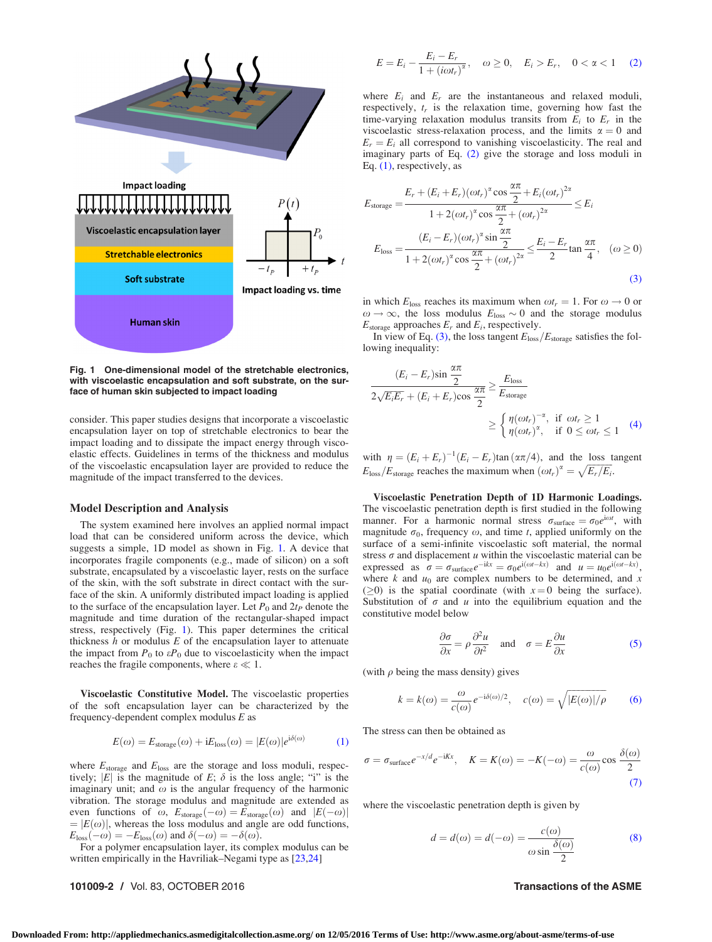<span id="page-1-0"></span>

Fig. 1 One-dimensional model of the stretchable electronics, with viscoelastic encapsulation and soft substrate, on the surface of human skin subjected to impact loading

consider. This paper studies designs that incorporate a viscoelastic encapsulation layer on top of stretchable electronics to bear the impact loading and to dissipate the impact energy through viscoelastic effects. Guidelines in terms of the thickness and modulus of the viscoelastic encapsulation layer are provided to reduce the magnitude of the impact transferred to the devices.

## Model Description and Analysis

The system examined here involves an applied normal impact load that can be considered uniform across the device, which suggests a simple, 1D model as shown in Fig. 1. A device that incorporates fragile components (e.g., made of silicon) on a soft substrate, encapsulated by a viscoelastic layer, rests on the surface of the skin, with the soft substrate in direct contact with the surface of the skin. A uniformly distributed impact loading is applied to the surface of the encapsulation layer. Let  $P_0$  and  $2t_P$  denote the magnitude and time duration of the rectangular-shaped impact stress, respectively (Fig. 1). This paper determines the critical thickness  $\hat{h}$  or modulus  $E$  of the encapsulation layer to attenuate the impact from  $P_0$  to  $\varepsilon P_0$  due to viscoelasticity when the impact reaches the fragile components, where  $\varepsilon \ll 1$ .

Viscoelastic Constitutive Model. The viscoelastic properties of the soft encapsulation layer can be characterized by the frequency-dependent complex modulus E as

$$
E(\omega) = E_{\text{storage}}(\omega) + iE_{\text{loss}}(\omega) = |E(\omega)|e^{i\delta(\omega)} \tag{1}
$$

where  $E_{\text{storage}}$  and  $E_{\text{loss}}$  are the storage and loss moduli, respectively; |E| is the magnitude of E;  $\delta$  is the loss angle; "i" is the imaginary unit; and  $\omega$  is the angular frequency of the harmonic vibration. The storage modulus and magnitude are extended as even functions of  $\omega$ ,  $E_{\text{storage}}(-\omega) = E_{\text{storage}}(\omega)$  and  $|E(-\omega)|$  $=$   $|E(\omega)|$ , whereas the loss modulus and angle are odd functions,  $E_{\text{loss}}(-\omega) = -E_{\text{loss}}(\omega)$  and  $\delta(-\omega) = -\delta(\omega)$ .

For a polymer encapsulation layer, its complex modulus can be written empirically in the Havriliak–Negami type as [[23,24](#page-4-0)]

## 101009-2 / Vol. 83, OCTOBER 2016 **Transactions of the ASME**

$$
E = E_i - \frac{E_i - E_r}{1 + \left(i\omega t_r\right)^{\alpha}}, \quad \omega \ge 0, \quad E_i > E_r, \quad 0 < \alpha < 1 \tag{2}
$$

where  $E_i$  and  $E_r$  are the instantaneous and relaxed moduli, respectively,  $t_r$  is the relaxation time, governing how fast the time-varying relaxation modulus transits from  $E_i$  to  $E_r$  in the viscoelastic stress-relaxation process, and the limits  $\alpha = 0$  and  $E_r = E_i$  all correspond to vanishing viscoelasticity. The real and imaginary parts of Eq. (2) give the storage and loss moduli in Eq. (1), respectively, as

$$
E_{\text{storage}} = \frac{E_r + (E_i + E_r)(\omega t_r)^{\alpha} \cos \frac{\alpha \pi}{2} + E_i(\omega t_r)^{2\alpha}}{1 + 2(\omega t_r)^{\alpha} \cos \frac{\alpha \pi}{2} + (\omega t_r)^{2\alpha}} \le E_i
$$
  

$$
E_{\text{loss}} = \frac{(E_i - E_r)(\omega t_r)^{\alpha} \sin \frac{\alpha \pi}{2}}{1 + 2(\omega t_r)^{\alpha} \cos \frac{\alpha \pi}{2} + (\omega t_r)^{2\alpha}} \le \frac{E_i - E_r}{2} \tan \frac{\alpha \pi}{4}, \quad (\omega \ge 0)
$$
(3)

in which  $E_{loss}$  reaches its maximum when  $\omega t_r = 1$ . For  $\omega \to 0$  or  $\omega \rightarrow \infty$ , the loss modulus  $E_{\text{loss}} \sim 0$  and the storage modulus  $E_{\text{storage}}$  approaches  $E_r$  and  $E_i$ , respectively.

In view of Eq. (3), the loss tangent  $E_{loss}/E_{storage}$  satisfies the following inequality:

$$
\frac{(E_i - E_r)\sin\frac{\alpha\pi}{2}}{2\sqrt{E_iE_r} + (E_i + E_r)\cos\frac{\alpha\pi}{2}} \ge \frac{E_{\text{loss}}}{E_{\text{storage}}}
$$
\n
$$
\ge \begin{cases} \eta(\omega t_r)^{-\alpha}, & \text{if } \omega t_r \ge 1\\ \eta(\omega t_r)^{\alpha}, & \text{if } 0 \le \omega t_r \le 1 \end{cases} (4)
$$

with  $\eta = (E_i + E_r)^{-1} (E_i - E_r) \tan(\alpha \pi/4)$ , and the loss tangent  $E_{\text{loss}}/E_{\text{storage}}$  reaches the maximum when  $(\omega_r)^{\alpha} = \sqrt{E_r/E_i}$ .

Viscoelastic Penetration Depth of 1D Harmonic Loadings. The viscoelastic penetration depth is first studied in the following manner. For a harmonic normal stress  $\sigma_{\text{surface}} = \sigma_0 e^{\mathrm{i} \omega t}$ , with magnitude  $\sigma_0$ , frequency  $\omega$ , and time t, applied uniformly on the surface of a semi-infinite viscoelastic soft material, the normal stress  $\sigma$  and displacement u within the viscoelastic material can be expressed as  $\sigma = \sigma_{\text{surface}} e^{-ikx} = \sigma_0 e^{i(\omega t - kx)}$  and  $u = u_0 e^{i(\omega t - kx)}$ , where  $k$  and  $u_0$  are complex numbers to be determined, and  $x$  $(\geq 0)$  is the spatial coordinate (with  $x = 0$  being the surface). Substitution of  $\sigma$  and u into the equilibrium equation and the constitutive model below

$$
\frac{\partial \sigma}{\partial x} = \rho \frac{\partial^2 u}{\partial t^2} \quad \text{and} \quad \sigma = E \frac{\partial u}{\partial x}
$$
 (5)

(with  $\rho$  being the mass density) gives

$$
k = k(\omega) = \frac{\omega}{c(\omega)} e^{-i\delta(\omega)/2}, \quad c(\omega) = \sqrt{|E(\omega)|/\rho} \tag{6}
$$

The stress can then be obtained as

$$
\sigma = \sigma_{\text{surface}} e^{-x/d} e^{-iKx}, \quad K = K(\omega) = -K(-\omega) = \frac{\omega}{c(\omega)} \cos \frac{\delta(\omega)}{2}
$$
\n(7)

where the viscoelastic penetration depth is given by

$$
d = d(\omega) = d(-\omega) = \frac{c(\omega)}{\omega \sin \frac{\delta(\omega)}{2}}
$$
 (8)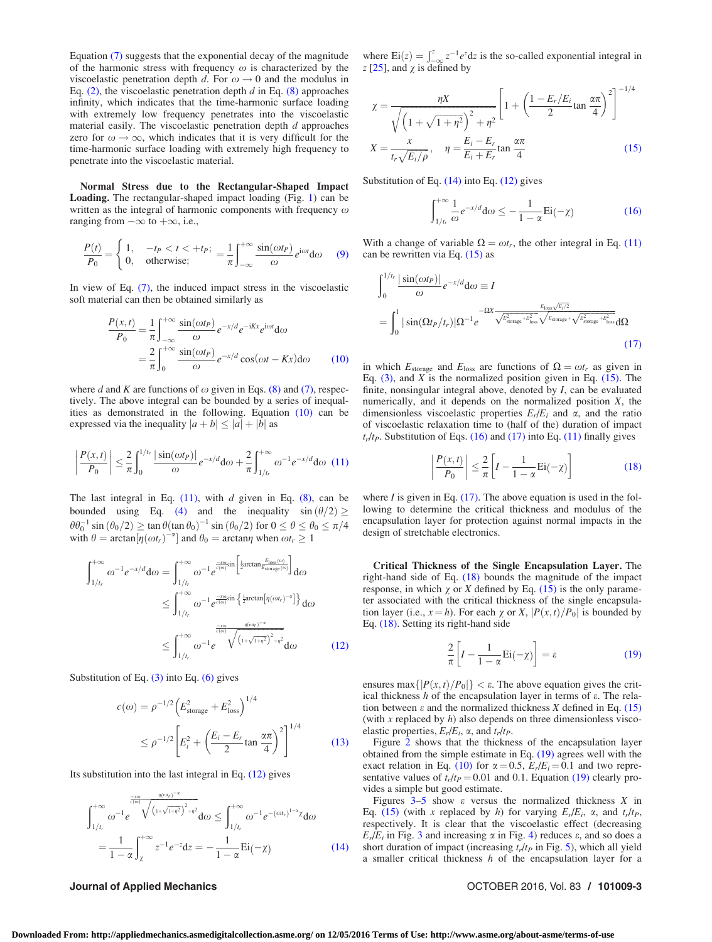<span id="page-2-0"></span>Equation [\(7\)](#page-1-0) suggests that the exponential decay of the magnitude of the harmonic stress with frequency  $\omega$  is characterized by the viscoelastic penetration depth d. For  $\omega \rightarrow 0$  and the modulus in Eq. [\(2\)](#page-1-0), the viscoelastic penetration depth  $d$  in Eq. [\(8\)](#page-1-0) approaches infinity, which indicates that the time-harmonic surface loading with extremely low frequency penetrates into the viscoelastic material easily. The viscoelastic penetration depth d approaches zero for  $\omega \to \infty$ , which indicates that it is very difficult for the time-harmonic surface loading with extremely high frequency to penetrate into the viscoelastic material.

Normal Stress due to the Rectangular-Shaped Impact Loading. The rectangular-shaped impact loading (Fig. [1](#page-1-0)) can be written as the integral of harmonic components with frequency  $\omega$ ranging from  $-\infty$  to  $+\infty$ , i.e.,

$$
\frac{P(t)}{P_0} = \begin{cases} 1, & -tp < t < +tp; \\ 0, & \text{otherwise}; \end{cases} = \frac{1}{\pi} \int_{-\infty}^{+\infty} \frac{\sin(\omega t_P)}{\omega} e^{i\omega t} d\omega \tag{9}
$$

In view of Eq. [\(7\)](#page-1-0), the induced impact stress in the viscoelastic soft material can then be obtained similarly as

$$
\frac{P(x,t)}{P_0} = \frac{1}{\pi} \int_{-\infty}^{+\infty} \frac{\sin(\omega t_P)}{\omega} e^{-x/d} e^{-iKx} e^{i\omega t} d\omega
$$

$$
= \frac{2}{\pi} \int_{0}^{+\infty} \frac{\sin(\omega t_P)}{\omega} e^{-x/d} \cos(\omega t - Kx) d\omega \qquad (10)
$$

where d and K are functions of  $\omega$  given in Eqs. [\(8\)](#page-1-0) and [\(7\),](#page-1-0) respectively. The above integral can be bounded by a series of inequalities as demonstrated in the following. Equation (10) can be expressed via the inequality  $|a + b| \le |a| + |b|$  as

$$
\left|\frac{P(x,t)}{P_0}\right| \leq \frac{2}{\pi} \int_0^{1/t_r} \frac{|\sin(\omega t_P)|}{\omega} e^{-x/d} d\omega + \frac{2}{\pi} \int_{1/t_r}^{+\infty} \omega^{-1} e^{-x/d} d\omega \quad (11)
$$

The last integral in Eq.  $(11)$ , with d given in Eq.  $(8)$ , can be bounded using Eq. [\(4\)](#page-1-0) and the inequality  $\sin (\theta/2) \ge$  $\theta \theta_0^{-1}$  sin  $(\theta_0/2) \ge \tan \theta (\tan \theta_0)^{-1}$  sin  $(\theta_0/2)$  for  $0 \le \theta \le \theta_0 \le \pi/4$ with  $\theta = \arctan[\eta(\omega t_r)^{-\alpha}]$  and  $\theta_0 = \arctan\eta$  when  $\omega t_r \ge 1$ 

$$
\int_{1/t_{r}}^{+\infty} \omega^{-1} e^{-x/d} d\omega = \int_{1/t_{r}}^{+\infty} \omega^{-1} e^{\frac{-x\omega}{\epsilon(\omega)}\sin\left[\frac{1}{2}\arctan\frac{E_{\text{loss}}(\omega)}{E_{\text{storage}}(\omega)}\right]} d\omega
$$
  

$$
\leq \int_{1/t_{r}}^{+\infty} \omega^{-1} e^{\frac{-x\omega}{\epsilon(\omega)}\sin\left\{\frac{1}{2}\arctan\left[\eta(\omega t_{r})^{-x}\right]\right\}} d\omega
$$
  

$$
\leq \int_{1/t_{r}}^{+\infty} \omega^{-1} e^{\frac{\eta(\omega t_{r})^{-x}}{\epsilon(\omega)}} \sqrt{\left(1+\sqrt{1+\eta^{2}}\right)^{2}+\eta^{2}} d\omega
$$
 (12)

Substitution of Eq.  $(3)$  into Eq.  $(6)$  gives

$$
c(\omega) = \rho^{-1/2} \left( E_{\text{storage}}^2 + E_{\text{loss}}^2 \right)^{1/4}
$$
  
 
$$
\leq \rho^{-1/2} \left[ E_i^2 + \left( \frac{E_i - E_r}{2} \tan \frac{\alpha \pi}{4} \right)^2 \right]^{1/4}
$$
 (13)

Its substitution into the last integral in Eq. (12) gives

$$
\int_{1/t_{r}}^{+\infty} \omega^{-1} e^{-\frac{\overline{\eta}(\omega t_{r})^{-\alpha}}{\sqrt{(1+\sqrt{1+\eta^{2}})^{2}+\eta^{2}}}d\omega} \leq \int_{1/t_{r}}^{+\infty} \omega^{-1} e^{-(\omega t_{r})^{1-\alpha} \chi} d\omega
$$

$$
= \frac{1}{1-\alpha} \int_{\chi}^{+\infty} z^{-1} e^{-z} dz = -\frac{1}{1-\alpha} \text{Ei}(-\chi)
$$
(14)

where  $Ei(z) = \int_{-\infty}^{z} z^{-1}e^{z} dz$  is the so-called exponential integral in z [[25\]](#page-4-0), and  $\chi$  is defined by

$$
\chi = \frac{\eta X}{\sqrt{\left(1 + \sqrt{1 + \eta^2}\right)^2 + \eta^2}} \left[1 + \left(\frac{1 - E_r/E_i}{2} \tan \frac{\alpha \pi}{4}\right)^2\right]^{-1/4}
$$

$$
X = \frac{x}{t_r \sqrt{E_i/\rho}}, \quad \eta = \frac{E_i - E_r}{E_i + E_r} \tan \frac{\alpha \pi}{4}
$$
(15)

Substitution of Eq. (14) into Eq. (12) gives

$$
\int_{1/t_r}^{+\infty} \frac{1}{\omega} e^{-x/d} d\omega \le -\frac{1}{1-\alpha} \text{Ei}(-\chi)
$$
 (16)

With a change of variable  $\Omega = \omega t_r$ , the other integral in Eq. (11) can be rewritten via Eq. (15) as

$$
\int_{0}^{1/t_r} \frac{|\sin(\omega t_P)|}{\omega} e^{-x/d} d\omega \equiv I
$$
  
= 
$$
\int_{0}^{1} |\sin(\Omega t_P/t_r)| \Omega^{-1} e^{-\frac{C\Lambda \zeta}{\sqrt{E_{\text{songe}}^2 + E_{\text{loss}}^2} \sqrt{E_{\text{storage}} + \sqrt{E_{\text{songe}}^2 + E_{\text{loss}}^2}}}} \sqrt{17}
$$
 (17)

in which  $E_{\text{storage}}$  and  $E_{\text{loss}}$  are functions of  $\Omega = \omega t_r$  as given in Eq.  $(3)$ , and X is the normalized position given in Eq.  $(15)$ . The finite, nonsingular integral above, denoted by I, can be evaluated numerically, and it depends on the normalized position X, the dimensionless viscoelastic properties  $E_r/E_i$  and  $\alpha$ , and the ratio of viscoelastic relaxation time to (half of the) duration of impact  $t_r/t_P$ . Substitution of Eqs. (16) and (17) into Eq. (11) finally gives

$$
\left|\frac{P(x,t)}{P_0}\right| \le \frac{2}{\pi} \left[I - \frac{1}{1-\alpha} \text{Ei}(-\chi)\right]
$$
 (18)

where  $I$  is given in Eq. (17). The above equation is used in the following to determine the critical thickness and modulus of the encapsulation layer for protection against normal impacts in the design of stretchable electronics.

Critical Thickness of the Single Encapsulation Layer. The right-hand side of Eq. (18) bounds the magnitude of the impact response, in which  $\chi$  or X defined by Eq. (15) is the only parameter associated with the critical thickness of the single encapsulation layer (i.e.,  $x = h$ ). For each  $\chi$  or X,  $|P(x, t)/P_0|$  is bounded by Eq. (18). Setting its right-hand side

$$
\frac{2}{\pi} \left[ I - \frac{1}{1 - \alpha} \mathrm{Ei}(-\chi) \right] = \varepsilon \tag{19}
$$

ensures max $\{ |P(x, t)/P_0| \} < \varepsilon$ . The above equation gives the critical thickness  $h$  of the encapsulation layer in terms of  $\varepsilon$ . The relation between  $\varepsilon$  and the normalized thickness X defined in Eq. (15) (with x replaced by  $h$ ) also depends on three dimensionless viscoelastic properties,  $E_r/E_i$ ,  $\alpha$ , and  $t_r/t_p$ .

Figure [2](#page-3-0) shows that the thickness of the encapsulation layer obtained from the simple estimate in Eq. (19) agrees well with the exact relation in Eq. (10) for  $\alpha = 0.5$ ,  $E_r/E_i = 0.1$  and two representative values of  $t_r/t_P = 0.01$  and 0.1. Equation (19) clearly provides a simple but good estimate.

Figures  $3-5$  show  $\varepsilon$  versus the normalized thickness X in Eq. (15) (with x replaced by h) for varying  $E_r/E_i$ ,  $\alpha$ , and  $t_r/t_p$ , respectively. It is clear that the viscoelastic effect (decreasing  $E_r/E_i$  in Fig. [3](#page-3-0) and increasing  $\alpha$  in Fig. [4](#page-3-0)) reduces  $\varepsilon$ , and so does a short duration of impact (increasing  $t_r/t_p$  in Fig. [5\)](#page-3-0), which all yield a smaller critical thickness  $h$  of the encapsulation layer for a

## Journal of Applied Mechanics OCTOBER 2016, Vol. 83 / 101009-3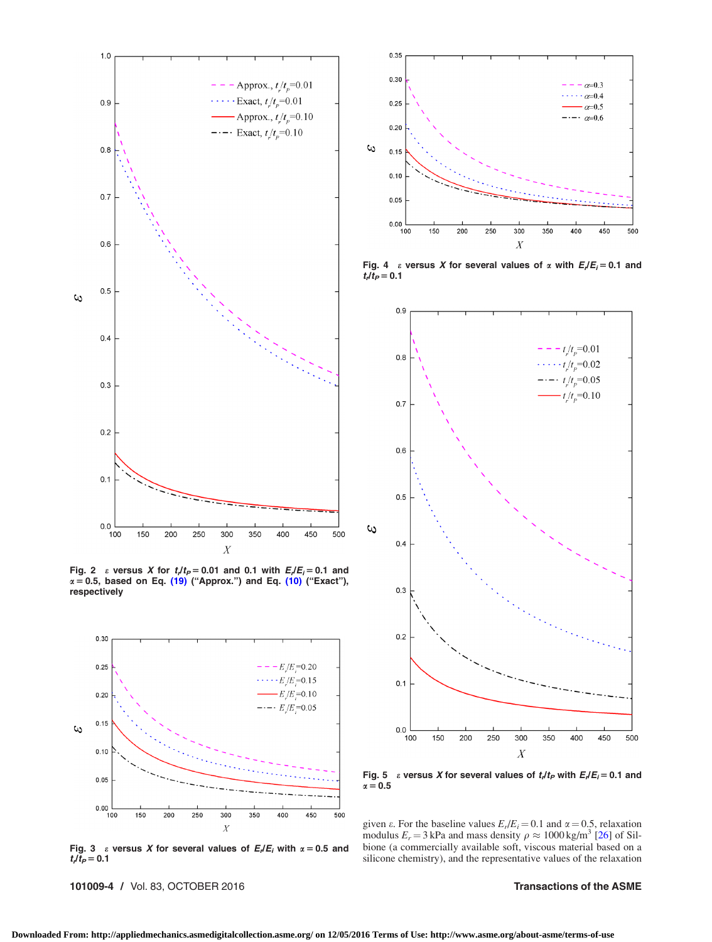<span id="page-3-0"></span>

Fig. 2  $\varepsilon$  versus X for  $t/t_P = 0.01$  and 0.1 with  $E/E_i = 0.1$  and  $\alpha = 0.5$ , based on Eq. [\(19\)](#page-2-0) ("Approx.") and Eq. [\(10\)](#page-2-0) ("Exact"), respectively



Fig. 3  $\varepsilon$  versus X for several values of  $E_i/E_i$  with  $\alpha = 0.5$  and  $t_{\rm r}/t_{\rm P}$  = 0.1

101009-4 / Vol. 83, OCTOBER 2016 Transactions of the ASME



Fig. 4  $\varepsilon$  versus X for several values of  $\alpha$  with  $E_i/E_i = 0.1$  and  $t_{\rm r}/t_{\rm P}$  = 0.1



Fig. 5  $\varepsilon$  versus X for several values of  $t_r/t_p$  with  $E_r/E_i = 0.1$  and  $\alpha = 0.5$ 

given  $\varepsilon$ . For the baseline values  $E_{i}/E_{i} = 0.1$  and  $\alpha = 0.5$ , relaxation modulus  $E_r = 3$  kPa and mass density  $\rho \approx 1000$  kg/m<sup>3</sup> [\[26](#page-4-0)] of Silbione (a commercially available soft, viscous material based on a silicone chemistry), and the representative values of the relaxation